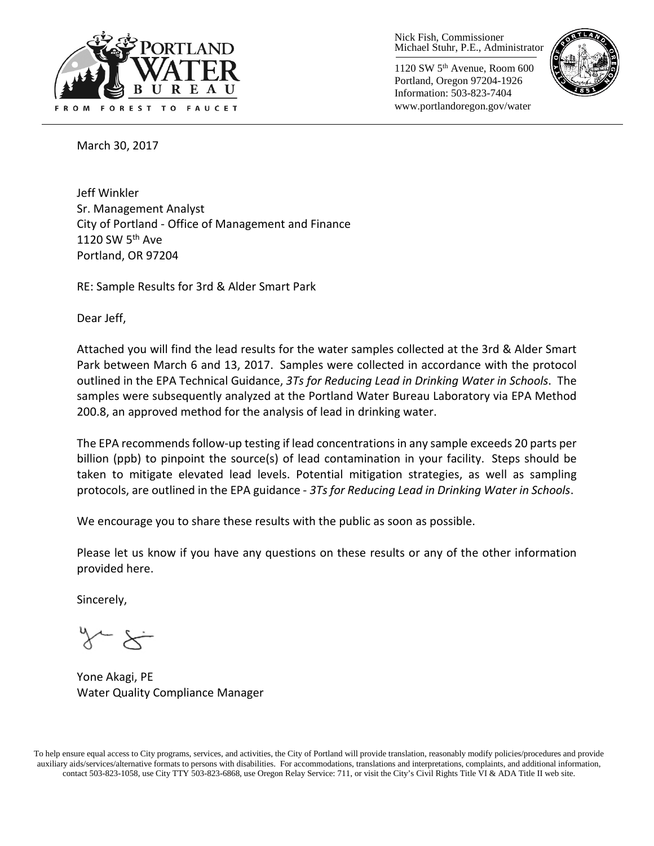

Nick Fish, Commissioner Michael Stuhr, P.E., Administrator

1120 SW 5th Avenue, Room 600 Portland, Oregon 97204-1926 Information: 503-823-7404 www.portlandoregon.gov/water



March 30, 2017

Jeff Winkler Sr. Management Analyst City of Portland - Office of Management and Finance 1120 SW  $5<sup>th</sup>$  Ave Portland, OR 97204

RE: Sample Results for 3rd & Alder Smart Park

Dear Jeff,

Attached you will find the lead results for the water samples collected at the 3rd & Alder Smart Park between March 6 and 13, 2017. Samples were collected in accordance with the protocol outlined in the EPA Technical Guidance, *3Ts for Reducing Lead in Drinking Water in Schools*. The samples were subsequently analyzed at the Portland Water Bureau Laboratory via EPA Method 200.8, an approved method for the analysis of lead in drinking water.

The EPA recommends follow-up testing if lead concentrations in any sample exceeds 20 parts per billion (ppb) to pinpoint the source(s) of lead contamination in your facility. Steps should be taken to mitigate elevated lead levels. Potential mitigation strategies, as well as sampling protocols, are outlined in the EPA guidance - *3Ts for Reducing Lead in Drinking Water in Schools*.

We encourage you to share these results with the public as soon as possible.

Please let us know if you have any questions on these results or any of the other information provided here.

Sincerely,

Yone Akagi, PE Water Quality Compliance Manager

To help ensure equal access to City programs, services, and activities, the City of Portland will provide translation, reasonably modify policies/procedures and provide auxiliary aids/services/alternative formats to persons with disabilities. For accommodations, translations and interpretations, complaints, and additional information, contact 503-823-1058, use City TTY 503-823-6868, use Oregon Relay Service: 711, or visi[t the City's Civil Rights Title VI & ADA Title II web site.](http://www.portlandoregon.gov/oehr/66458)